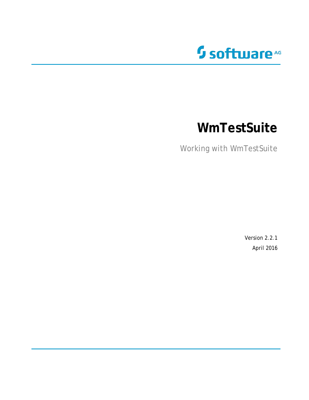

# **WmTestSuite**

Working with WmTestSuite

Version 2.2.1 April 2016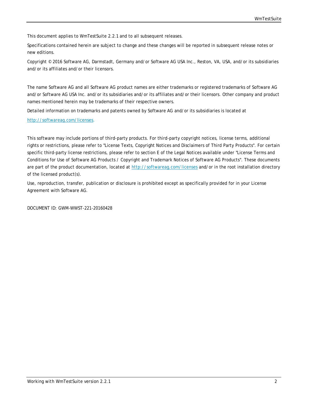This document applies to *WmTestSuite 2.2.1* and to all subsequent releases.

Specifications contained herein are subject to change and these changes will be reported in subsequent release notes or new editions.

Copyright © 2016 Software AG, Darmstadt, Germany and/or Software AG USA Inc., Reston, VA, USA, and/or its subsidiaries and/or its affiliates and/or their licensors.

The name Software AG and all Software AG product names are either trademarks or registered trademarks of Software AG and/or Software AG USA Inc. and/or its subsidiaries and/or its affiliates and/or their licensors. Other company and product names mentioned herein may be trademarks of their respective owners.

Detailed information on trademarks and patents owned by Software AG and/or its subsidiaries is located at

[http://softwareag.com/licenses.](http://softwareag.com/licenses)

This software may include portions of third-party products. For third-party copyright notices, license terms, additional rights or restrictions, please refer to "License Texts, Copyright Notices and Disclaimers of Third Party Products". For certain specific third-party license restrictions, please refer to section E of the Legal Notices available under "License Terms and Conditions for Use of Software AG Products / Copyright and Trademark Notices of Software AG Products". These documents are part of the product documentation, located at<http://softwareag.com/licenses> and/or in the root installation directory of the licensed product(s).

Use, reproduction, transfer, publication or disclosure is prohibited except as specifically provided for in your License Agreement with Software AG.

DOCUMENT ID: GWM-WWST-221-20160428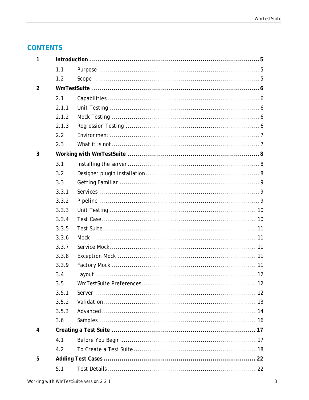# **CONTENTS**

| 1              |       |  |
|----------------|-------|--|
|                | 1.1   |  |
|                | 1.2   |  |
| $\overline{2}$ |       |  |
|                | 2.1   |  |
|                | 2.1.1 |  |
|                | 2.1.2 |  |
|                | 2.1.3 |  |
|                | 2.2   |  |
|                | 2.3   |  |
| 3              |       |  |
|                | 3.1   |  |
|                | 3.2   |  |
|                | 3.3   |  |
|                | 3.3.1 |  |
|                | 3.3.2 |  |
|                | 3.3.3 |  |
|                | 3.3.4 |  |
|                | 3.3.5 |  |
|                | 3.3.6 |  |
|                | 3.3.7 |  |
|                | 3.3.8 |  |
|                | 3.3.9 |  |
|                | 3.4   |  |
|                | 3.5   |  |
|                | 3.5.1 |  |
|                | 3.5.2 |  |
|                | 3.5.3 |  |
|                | 3.6   |  |
| 4              |       |  |
|                | 4.1   |  |
|                | 4.2   |  |
| 5              |       |  |
|                | 5.1   |  |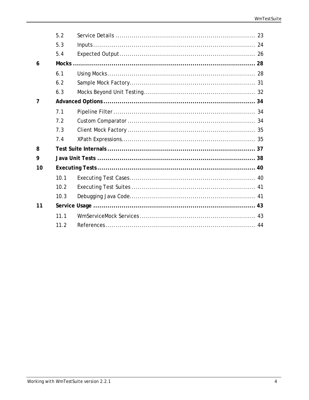|    | 5.2  |  |
|----|------|--|
|    | 5.3  |  |
|    | 5.4  |  |
| 6  |      |  |
|    | 6.1  |  |
|    | 6.2  |  |
|    | 6.3  |  |
| 7  |      |  |
|    | 7.1  |  |
|    | 7.2  |  |
|    | 7.3  |  |
|    | 7.4  |  |
| 8  |      |  |
| 9  |      |  |
| 10 |      |  |
|    | 10.1 |  |
|    | 10.2 |  |
|    | 10.3 |  |
| 11 |      |  |
|    | 11.1 |  |
|    | 11.2 |  |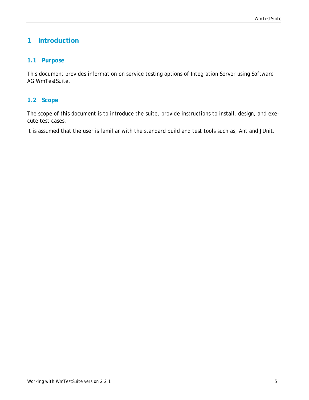# <span id="page-4-0"></span>**1 Introduction**

#### <span id="page-4-1"></span>**1.1 Purpose**

This document provides information on service testing options of Integration Server using Software AG WmTestSuite.

#### <span id="page-4-2"></span>**1.2 Scope**

The scope of this document is to introduce the suite, provide instructions to install, design, and execute test cases.

It is assumed that the user is familiar with the standard build and test tools such as, Ant and JUnit.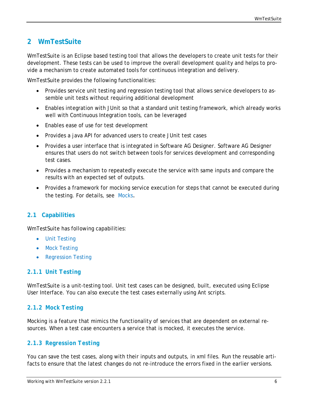# <span id="page-5-0"></span>**2 WmTestSuite**

WmTestSuite is an Eclipse based testing tool that allows the developers to create unit tests for their development. These tests can be used to improve the overall development quality and helps to provide a mechanism to create automated tools for continuous integration and delivery.

WmTestSuite provides the following functionalities:

- Provides service unit testing and regression testing tool that allows service developers to assemble unit tests without requiring additional development
- Enables integration with JUnit so that a standard unit testing framework, which already works well with Continuous Integration tools, can be leveraged
- Enables ease of use for test development
- Provides a java API for advanced users to create JUnit test cases
- Provides a user interface that is integrated in Software AG Designer. Software AG Designer ensures that users do not switch between tools for services development and corresponding test cases.
- Provides a mechanism to repeatedly execute the service with same inputs and compare the results with an expected set of outputs.
- Provides a framework for mocking service execution for steps that cannot be executed during the testing. For details, see [Mocks](#page-27-0).

#### <span id="page-5-1"></span>**2.1 Capabilities**

WmTestSuite has following capabilities:

- [Unit Testing](#page-5-2)
- [Mock Testing](#page-5-3)
- [Regression Testing](#page-5-4)

#### <span id="page-5-2"></span>*2.1.1 Unit Testing*

WmTestSuite is a unit-testing tool. Unit test cases can be designed, built, executed using Eclipse User Interface. You can also execute the test cases externally using Ant scripts.

#### <span id="page-5-3"></span>*2.1.2 Mock Testing*

Mocking is a feature that mimics the functionality of services that are dependent on external resources. When a test case encounters a service that is mocked, it executes the service.

#### <span id="page-5-4"></span>*2.1.3 Regression Testing*

You can save the test cases, along with their inputs and outputs, in xml files. Run the reusable artifacts to ensure that the latest changes do not re-introduce the errors fixed in the earlier versions.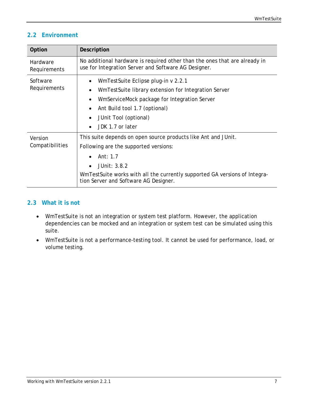## <span id="page-6-0"></span>**2.2 Environment**

| Option                     | <b>Description</b>                                                                                                                                                                                                                                                                         |  |  |  |  |  |
|----------------------------|--------------------------------------------------------------------------------------------------------------------------------------------------------------------------------------------------------------------------------------------------------------------------------------------|--|--|--|--|--|
| Hardware<br>Requirements   | No additional hardware is required other than the ones that are already in<br>use for Integration Server and Software AG Designer.                                                                                                                                                         |  |  |  |  |  |
| Software<br>Requirements   | WmTestSuite Eclipse plug-in v 2.2.1<br>$\bullet$<br>WmTestSuite library extension for Integration Server<br>$\bullet$<br>WmServiceMock package for Integration Server<br>$\bullet$<br>Ant Build tool 1.7 (optional)<br>$\bullet$<br>JUnit Tool (optional)<br>$\bullet$<br>JDK 1.7 or later |  |  |  |  |  |
| Version<br>Compatibilities | This suite depends on open source products like Ant and JUnit.<br>Following are the supported versions:<br>Ant: 1.7<br>JUnit: 3.8.2<br>$\bullet$<br>WmTestSuite works with all the currently supported GA versions of Integra-<br>tion Server and Software AG Designer.                    |  |  |  |  |  |

#### <span id="page-6-1"></span>**2.3 What it is not**

- WmTestSuite is not an integration or system test platform. However, the application dependencies can be mocked and an integration or system test can be simulated using this suite.
- WmTestSuite is not a performance-testing tool. It cannot be used for performance, load, or volume testing.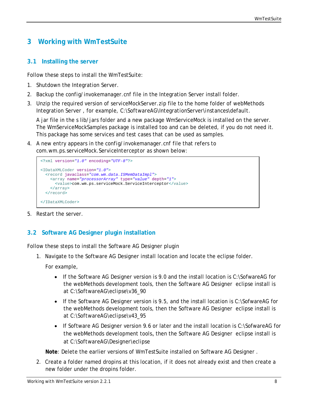# <span id="page-7-0"></span>**3 Working with WmTestSuite**

#### <span id="page-7-1"></span>**3.1 Installing the server**

Follow these steps to install the WmTestSuite:

- 1. Shutdown the Integration Server.
- 2. Backup the *config/invokemanager.cnf* file in the Integration Server install folder.
- 3. Unzip the required version of *serviceMockServer.zip* file to the home folder of webMethods Integration Server , for example, *C:\SoftwareAG\IntegrationServer\instances\default*.

A jar file in the s lib/jars folder and a new package WmServiceMock is installed on the server. The WmServiceMockSamples package is installed too and can be deleted, if you do not need it. This package has some services and test cases that can be used as samples.

4. A new entry appears in the *config/invokemanager.cnf* file that refers to *com.wm.ps.serviceMock.ServiceInterceptor* as shown below:

```
<?xml version="1.0" encoding="UTF-8"?>
<IDataXMLCoder version="1.0">
  <record javaclass="com.wm.data.ISMemDataImpl">
     <array name="processorArray" type="value" depth="1">
      <value>com.wm.ps.serviceMock.ServiceInterceptor</value>
     </array>
  </record>
</IDataXMLCoder>
```
<span id="page-7-2"></span>5. Restart the server.

## **3.2 Software AG Designer plugin installation**

Follow these steps to install the Software AG Designer plugin

1. Navigate to the Software AG Designer install location and locate the eclipse folder.

For example,

- If the Software AG Designer version is 9.0 and the install location is C:\SofwareAG for the webMethods development tools, then the Software AG Designer eclipse install is at *C:\SoftwareAG\eclipse\v36\_90*
- If the Software AG Designer version is 9.5, and the install location is C:\SofwareAG for the webMethods development tools, then the Software AG Designer eclipse install is at *C:\SoftwareAG\eclipse\v43\_95*
- If Software AG Designer version 9.6 or later and the install location is C:\SofwareAG for the webMethods development tools, then the Software AG Designer eclipse install is at *C:\SoftwareAG\Designer\eclipse*

**Note**: Delete the earlier versions of WmTestSuite installed on Software AG Designer .

2. Create a folder named dropins at this location, if it does not already exist and then create a new folder under the dropins folder.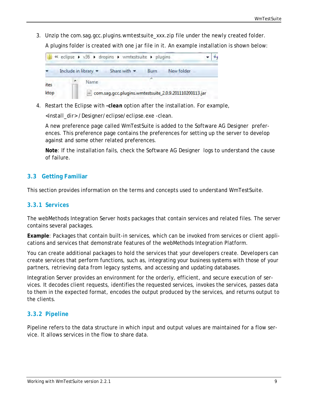3. Unzip the *com.sag.gcc.plugins.wmtestsuite\_xxx.zip* file under the newly created folder.

A plugins folder is created with one jar file in it. An example installation is shown below:



4. Restart the Eclipse with *-clean* option after the installation. For example,

*<install\_dir> /Designer/eclipse/eclipse.exe -clean*.

A new preference page called WmTestSuite is added to the Software AG Designer preferences. This preference page contains the preferences for setting up the server to develop against and some other related preferences.

**Note**: If the installation fails, check the Software AG Designer logs to understand the cause of failure.

#### <span id="page-8-0"></span>**3.3 Getting Familiar**

This section provides information on the terms and concepts used to understand WmTestSuite.

#### <span id="page-8-1"></span>*3.3.1 Services*

The webMethods Integration Server hosts packages that contain services and related files. The server contains several packages.

**Example**: Packages that contain built-in services, which can be invoked from services or client applications and services that demonstrate features of the webMethods Integration Platform.

You can create additional packages to hold the services that your developers create. Developers can create services that perform functions, such as, integrating your business systems with those of your partners, retrieving data from legacy systems, and accessing and updating databases.

Integration Server provides an environment for the orderly, efficient, and secure execution of services. It decodes client requests, identifies the requested services, invokes the services, passes data to them in the expected format, encodes the output produced by the services, and returns output to the clients.

#### <span id="page-8-2"></span>*3.3.2 Pipeline*

Pipeline refers to the data structure in which input and output values are maintained for a flow service. It allows services in the flow to share data.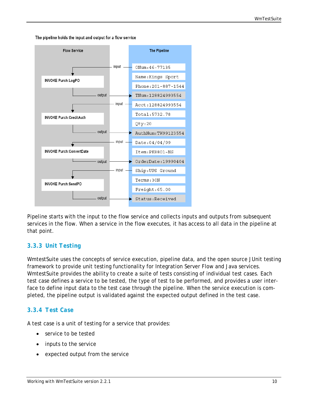The pipeline holds the input and output for a flow service



Pipeline starts with the input to the flow service and collects inputs and outputs from subsequent services in the flow. When a service in the flow executes, it has access to all data in the pipeline at that point.

## <span id="page-9-0"></span>*3.3.3 Unit Testing*

WmtestSuite uses the concepts of service execution, pipeline data, and the open source JUnit testing framework to provide unit testing functionality for Integration Server Flow and Java services. WmtestSuite provides the ability to create a suite of tests consisting of individual test cases. Each test case defines a service to be tested, the type of test to be performed, and provides a user interface to define input data to the test case through the pipeline. When the service execution is completed, the pipeline output is validated against the expected output defined in the test case.

#### <span id="page-9-1"></span>*3.3.4 Test Case*

A test case is a unit of testing for a service that provides:

- service to be tested
- inputs to the service
- expected output from the service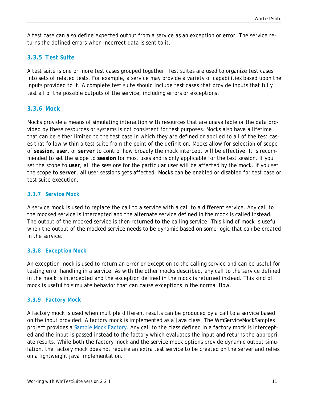A test case can also define expected output from a service as an exception or error. The service returns the defined errors when incorrect data is sent to it.

## <span id="page-10-0"></span>*3.3.5 Test Suite*

A test suite is one or more test cases grouped together. Test suites are used to organize test cases into sets of related tests. For example, a service may provide a variety of capabilities based upon the inputs provided to it. A complete test suite should include test cases that provide inputs that fully test all of the possible outputs of the service, including errors or exceptions.

#### <span id="page-10-1"></span>*3.3.6 Mock*

Mocks provide a means of simulating interaction with resources that are unavailable or the data provided by these resources or systems is not consistent for test purposes. Mocks also have a lifetime that can be either limited to the test case in which they are defined or applied to all of the test cases that follow within a test suite from the point of the definition. Mocks allow for selection of scope of *session*, *user*, or *server* to control how broadly the mock intercept will be effective. It is recommended to set the scope to *session* for most uses and is only applicable for the test session. If you set the scope to *user*, all the sessions for the particular user will be affected by the mock. If you set the scope to *server*, all user sessions gets affected. Mocks can be enabled or disabled for test case or test suite execution.

#### <span id="page-10-2"></span>*3.3.7 Service Mock*

A service mock is used to replace the call to a service with a call to a different service. Any call to the mocked service is intercepted and the alternate service defined in the mock is called instead. The output of the mocked service is then returned to the calling service. This kind of mock is useful when the output of the mocked service needs to be dynamic based on some logic that can be created in the service.

#### <span id="page-10-3"></span>*3.3.8 Exception Mock*

An exception mock is used to return an error or exception to the calling service and can be useful for testing error handling in a service. As with the other mocks described, any call to the service defined in the mock is intercepted and the exception defined in the mock is returned instead. This kind of mock is useful to simulate behavior that can cause exceptions in the normal flow.

#### <span id="page-10-4"></span>*3.3.9 Factory Mock*

A factory mock is used when multiple different results can be produced by a call to a service based on the input provided. A factory mock is implemented as a Java class. The WmServiceMockSamples project provides a [Sample Mock Factory.](#page-30-0) Any call to the class defined in a factory mock is intercepted and the input is passed instead to the factory which evaluates the input and returns the appropriate results. While both the factory mock and the service mock options provide dynamic output simulation, the factory mock does not require an extra test service to be created on the server and relies on a lightweight java implementation.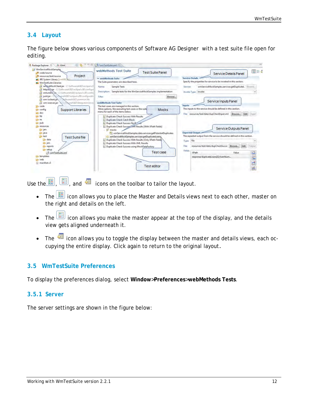## <span id="page-11-0"></span>**3.4 Layout**

The figure below shows various components of Software AG Designer with a test suite file open for editing.

| $\alpha = \Box$<br>日本<br><b>2 Package Explorer</b> 23<br>Ju JUnit                                                                                                                                                                                                                                                                                                                                                                                                                                                                                                   | ER wmTeuSuite.xml [33]                                                                                                                                                                                                                                                                                                                                                                                                                                                                                                        |                                                                                                                                                                                                                                                                                                                                                                                                   |
|---------------------------------------------------------------------------------------------------------------------------------------------------------------------------------------------------------------------------------------------------------------------------------------------------------------------------------------------------------------------------------------------------------------------------------------------------------------------------------------------------------------------------------------------------------------------|-------------------------------------------------------------------------------------------------------------------------------------------------------------------------------------------------------------------------------------------------------------------------------------------------------------------------------------------------------------------------------------------------------------------------------------------------------------------------------------------------------------------------------|---------------------------------------------------------------------------------------------------------------------------------------------------------------------------------------------------------------------------------------------------------------------------------------------------------------------------------------------------------------------------------------------------|
| WmServiceMockSamples<br>ede/source<br>Project<br>m resources/test/source<br><b>mil</b> JRE System Library (wm160)<br><b>ml</b> WmTestSuite Libraries<br>а<br>sergceMockClient.jar - C'\SoftwareAGEZ\eclipse\v3<br>httpulvbjar - C:\SoftwareAG82\eclipse\v36\configui<br>я<br>xmlunit N.ix - E:\SoftwareAG82\eclipse\v36\confic<br>unit.jar<br>areAG82\eclipse\v36\configuratio<br>SeftwareAG82\common\lib<br>wm-isclient.jan<br>en wm-isserver.jar<br>SpreAGE2\IntegrationServe<br>code<br>Support Libraries<br>config<br>a doc<br>$\Rightarrow$ lib<br><b>B</b> ns | webMethods Test Suite<br><b>Test Suite Panel</b><br>* webMethods Suite<br>The Suite parameters are described here.<br>Sample Tests<br>Name:<br>Sample tests for the WmServiceMockSamples implementation<br><b>Description:</b><br>Filter:<br>Browse<br>webMethods Test Suite<br>The test cases are managed in this section.<br>More options, like executing test cases or the suite<br><b>Mocks</b><br>menu for each of the items below.<br><b>Duplicate Check Success With Results</b><br><b>Duplicate Check Catch Block</b> | 田田崎<br>Service Details Panel<br><b>Service Details</b><br>Specify the properties for service to be invoked in this section.<br>wmServiceMockSamples.services:getDuplicateL Browse<br><b>Service:</b><br>Invoke Type: invoke<br>Service Inputs Panel<br>Inputs<br>The inputs to the service should be defined in this section.<br>Browse Edit Input<br>File: resources/test/data/dupCheckInput.xml |
| pub.<br>resources<br><b>Briars</b><br><b>B</b> java<br>any test<br><b>Test Suite file</b><br>as data<br><b>By jars</b><br>reports<br>setup<br>the wmTestSuite.xml<br>templates<br>Lim web<br>ill manifest.v3                                                                                                                                                                                                                                                                                                                                                        | Duplicate Check Success No B<br>Duplicate Check Success with Results (With XPath Fields)<br><b>SE</b> mocks<br>wmServiceMockSamples.data.services:getPotentialDuplicates<br>wmServiceMockSamples.services:getDuplicateLoans,<br>Duplicate Check Success With Results (Only XPath Fields)<br>Duplicate Check Success With XML Results<br>Duplicate Check Success using MockDataFactory<br>Test case<br><b>Test editor</b>                                                                                                      | Service Outputs Panel<br><b>Expected Output-</b><br>The expected output from the service should be defined in this section.<br>file<br>Type:<br>Edit<br>resources/test/data/dupCheckSucce Browse<br>Output<br>Files<br>Fields:<br>田<br>XPath<br>Value<br>冒<br>response/duplicateLoans[1]/loanNum<br>ď<br>鷗                                                                                        |

Use the  $\boxed{1}$ ,  $\boxed{1}$ , and  $\boxed{1}$  icons on the toolbar to tailor the layout.

- The  $\boxed{2}$  icon allows you to place the Master and Details views next to each other, master on the right and details on the left.
- The  $\boxed{1}$  icon allows you make the master appear at the top of the display, and the details view gets aligned underneath it.
- The  $\frac{1}{\sqrt{2}}$  icon allows you to toggle the display between the master and details views, each occupying the entire display. Click again to return to the original layout.

#### <span id="page-11-1"></span>**3.5 WmTestSuite Preferences**

To display the preferences dialog, select **Window**>**Preferences**>**webMethods Tests**.

#### <span id="page-11-2"></span>*3.5.1 Server*

The server settings are shown in the figure below: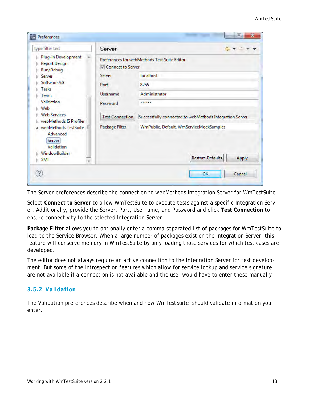| type filter text                                                            | Server                     | ⇦                                                                                  |  |
|-----------------------------------------------------------------------------|----------------------------|------------------------------------------------------------------------------------|--|
| Plug-in Development<br>ы<br><b>Report Design</b><br>Ь<br>Run/Debug<br>Ы     | <b>V</b> Connect to Server | Preferences for webMethods Test Suite Editor                                       |  |
| Server<br>Ы                                                                 | Server                     | localhost                                                                          |  |
| Software AG                                                                 | 8255<br>Port               |                                                                                    |  |
| Tasks                                                                       | <b>Username</b>            | Administrator                                                                      |  |
| Team<br>Validation<br>$\triangleright$ Web                                  | Password                   | ******                                                                             |  |
| <b>Meb Services</b><br>webMethods IS Profiler                               | <b>Test Connection</b>     | Successfully connected to webMethods Integration Server                            |  |
| a webMethods TestSuite<br>Advanced<br>Server<br>Validation<br>WindowBuilder | Package Filter             | WmPublic, Default, WmServiceMockSamples<br><b>Restore Defaults</b><br><b>Apply</b> |  |
| <b>XML</b>                                                                  |                            |                                                                                    |  |

The Server preferences describe the connection to webMethods Integration Server for WmTestSuite.

Select **Connect to Server** to allow WmTestSuite to execute tests against a specific Integration Server. Additionally, provide the Server, Port, Username, and Password and click **Test Connection** to ensure connectivity to the selected Integration Server.

**Package Filter** allows you to optionally enter a comma-separated list of packages for WmTestSuite to load to the Service Browser. When a large number of packages exist on the Integration Server, this feature will conserve memory in WmTestSuite by only loading those services for which test cases are developed.

The editor does not always require an active connection to the Integration Server for test development. But some of the introspection features which allow for service lookup and service signature are not available if a connection is not available and the user would have to enter these manually

#### <span id="page-12-0"></span>*3.5.2 Validation*

The Validation preferences describe when and how WmTestSuite should validate information you enter.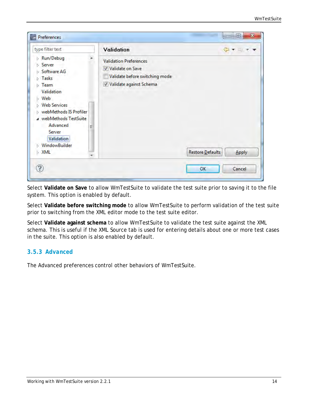| type filter text                                                                                                                                                                                                                                                         | Validation                                                                                                         |                  | $C = 7$      |
|--------------------------------------------------------------------------------------------------------------------------------------------------------------------------------------------------------------------------------------------------------------------------|--------------------------------------------------------------------------------------------------------------------|------------------|--------------|
| Run/Debug<br>Ы<br>Server<br>Ы<br>Software AG<br>Tasks<br>Ь<br><b>Team</b><br>ы<br>Validation<br>Web<br>Ы<br><b>Web Services</b><br>webMethods IS Profiler<br><b>a</b> webMethods TestSuite<br>Advanced<br>Ξ<br>Server<br>Validation<br><b>WindowBuilder</b><br>XML<br>b. | <b>Validation Preferences</b><br>V Validate on Save<br>Validate before switching mode<br>V Validate against Schema | Restore Defaults | <b>Apply</b> |

Select **Validate on Save** to allow WmTestSuite to validate the test suite prior to saving it to the file system. This option is enabled by default.

Select **Validate before switching mode** to allow WmTestSuite to perform validation of the test suite prior to switching from the XML editor mode to the test suite editor.

Select **Validate against schema** to allow WmTestSuite to validate the test suite against the XML schema. This is useful if the XML Source tab is used for entering details about one or more test cases in the suite. This option is also enabled by default.

#### <span id="page-13-0"></span>*3.5.3 Advanced*

The Advanced preferences control other behaviors of WmTestSuite.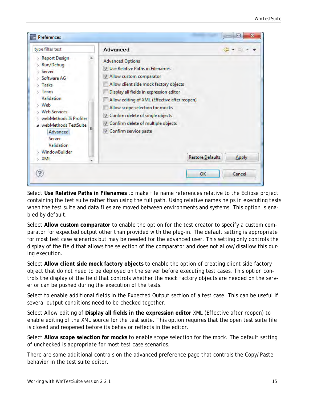| type filter text                                                                                                                                                                                                                             | <b>Advanced</b>                                                                                                                                                                                                                                                                                                                                                                                      | $\leftarrow$ |
|----------------------------------------------------------------------------------------------------------------------------------------------------------------------------------------------------------------------------------------------|------------------------------------------------------------------------------------------------------------------------------------------------------------------------------------------------------------------------------------------------------------------------------------------------------------------------------------------------------------------------------------------------------|--------------|
| <b>Report Design</b><br>Run/Debug<br>Server<br>Software AG<br>Tasks<br>Team<br>Validation<br>Web<br><b>Web Services</b><br>webMethods IS Profiler<br>webMethods TestSuite<br>Advanced<br><b>Server</b><br>Validation<br>WindowBuilder<br>XML | <b>Advanced Options</b><br>V Use Relative Paths in Filenames<br>V Allow custom comparator<br>Allow client side mock factory objects<br>Display all fields in expression editor<br>Allow editing of XML (Effective after reopen)<br>Allow scope selection for mocks<br>V Confirm delete of single objects<br>V Confirm delete of multiple objects<br>Confirm service paste<br><b>Restore Defaults</b> | Apply        |

Select **Use Relative Paths in Filenames** to make file name references relative to the Eclipse project containing the test suite rather than using the full path. Using relative names helps in executing tests when the test suite and data files are moved between environments and systems. This option is enabled by default.

Select **Allow custom comparator** to enable the option for the test creator to specify a custom comparator for expected output other than provided with the plug-in. The default setting is appropriate for most test case scenarios but may be needed for the advanced user. This setting only controls the display of the field that allows the selection of the comparator and does not allow/disallow this during execution.

Select **Allow client side mock factory objects** to enable the option of creating client side factory object that do not need to be deployed on the server before executing test cases. This option controls the display of the field that controls whether the mock factory objects are needed on the server or can be pushed during the execution of the tests.

Select to enable additional fields in the Expected Output section of a test case. This can be useful if several output conditions need to be checked together.

Select Allow editing of **Display all fields in the expression editor** XML (Effective after reopen) to enable editing of the XML source for the test suite. This option requires that the open test suite file is closed and reopened before its behavior reflects in the editor.

Select **Allow scope selection for mocks** to enable scope selection for the mock. The default setting of unchecked is appropriate for most test case scenarios.

There are some additional controls on the advanced preference page that controls the Copy/Paste behavior in the test suite editor.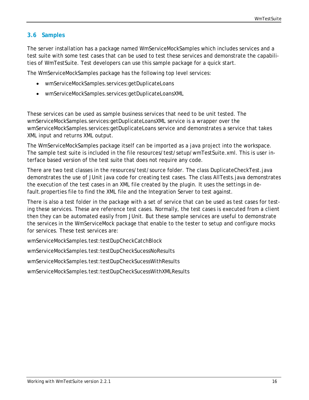## <span id="page-15-0"></span>**3.6 Samples**

The server installation has a package named WmServiceMockSamples which includes services and a test suite with some test cases that can be used to test these services and demonstrate the capabilities of WmTestSuite. Test developers can use this sample package for a quick start.

The WmServiceMockSamples package has the following top level services:

- wmServiceMockSamples.services:getDuplicateLoans
- wmServiceMockSamples.services:getDuplicateLoansXML

These services can be used as sample business services that need to be unit tested. The wmServiceMockSamples.services:getDuplicateLoansXML service is a wrapper over the wmServiceMockSamples.services:getDuplicateLoans service and demonstrates a service that takes XML input and returns XML output.

The WmServiceMockSamples package itself can be imported as a java project into the workspace. The sample test suite is included in the file resources/test/setup/wmTestSuite.xml. This is user interface based version of the test suite that does not require any code.

There are two test classes in the resources/test/source folder. The class DuplicateCheckTest.java demonstrates the use of JUnit java code for creating test cases. The class AllTests.java demonstrates the execution of the test cases in an XML file created by the plugin. It uses the settings in default.properties file to find the XML file and the Integration Server to test against.

There is also a test folder in the package with a set of service that can be used as test cases for testing these services. These are reference test cases. Normally, the test cases is executed from a client then they can be automated easily from JUnit. But these sample services are useful to demonstrate the services in the WmServiceMock package that enable to the tester to setup and configure mocks for services. These test services are:

wmServiceMockSamples.test:testDupCheckCatchBlock

wmServiceMockSamples.test:testDupCheckSucessNoResults

wmServiceMockSamples.test:testDupCheckSucessWithResults

wmServiceMockSamples.test:testDupCheckSucessWithXMLResults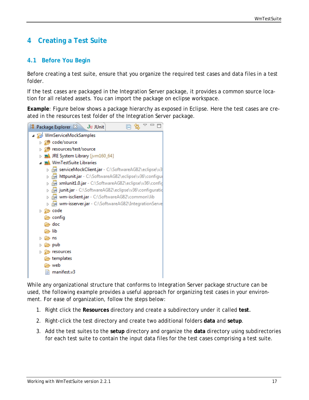# <span id="page-16-0"></span>**4 Creating a Test Suite**

#### <span id="page-16-1"></span>**4.1 Before You Begin**

Before creating a test suite, ensure that you organize the required test cases and data files in a test folder.

If the test cases are packaged in the Integration Server package, it provides a common source location for all related assets. You can import the package on eclipse workspace.

**Example**: Figure below shows a package hierarchy as exposed in Eclipse. Here the test cases are created in the resources test folder of the Integration Server package.



While any organizational structure that conforms to Integration Server package structure can be used, the following example provides a useful approach for organizing test cases in your environment. For ease of organization, follow the steps below:

- 1. Right click the **Resources** directory and create a subdirectory under it called **test**.
- 2. Right-click the test directory and create two additional folders **data** and **setup**.
- 3. Add the test suites to the **setup** directory and organize the **data** directory using subdirectories for each test suite to contain the input data files for the test cases comprising a test suite.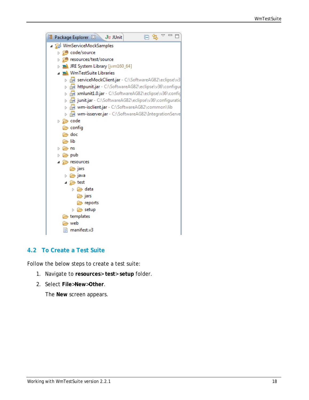

## <span id="page-17-0"></span>**4.2 To Create a Test Suite**

Follow the below steps to create a test suite:

- 1. Navigate to **resources**> **test**> **setup** folder.
- 2. Select **File**>**New**>**Other**.

The **New** screen appears.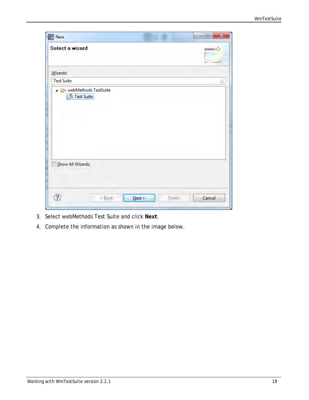| New               |                           | ×<br>回 |
|-------------------|---------------------------|--------|
| Select a wizard   |                           |        |
| Wizards:          |                           |        |
| <b>Test Suite</b> |                           | R      |
|                   | E <sup>t</sup> Test Suite |        |
|                   | Show All Wizards.         |        |

- 3. Select webMethods Test Suite and click **Next**.
- 4. Complete the information as shown in the image below.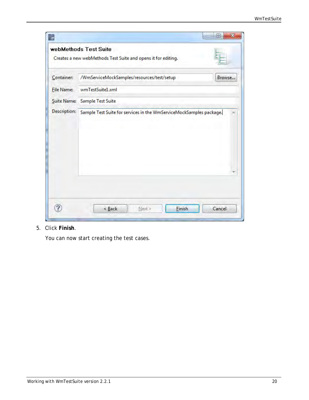| ÷            | 回<br>$\mathbf{x}$<br>webMethods Test Suite<br>Creates a new webMethods Test Suite and opens it for editing. |
|--------------|-------------------------------------------------------------------------------------------------------------|
| Container:   | /WmServiceMockSamples/resources/test/setup<br>Browse                                                        |
| File Name:   | wmTestSuite1.xml<br>Suite Name: Sample Test Suite                                                           |
| Description: | Sample Test Suite for services in the WmServiceMockSamples package.                                         |
|              |                                                                                                             |
|              | <b>Finish</b><br>$\leq$ Back<br>Next &<br>Cancel                                                            |

## 5. Click **Finish**.

You can now start creating the test cases.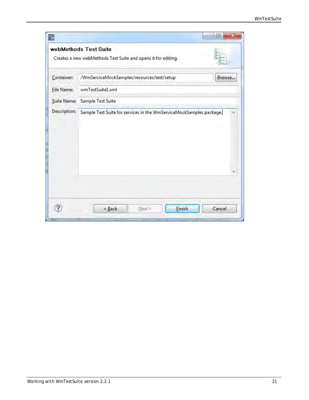|                                                                 | 回<br>$\mathbf x$<br>webMethods Test Suite<br>Creates a new webMethods Test Suite and opens it for editing. |  |  |  |
|-----------------------------------------------------------------|------------------------------------------------------------------------------------------------------------|--|--|--|
| Container:                                                      | /WmServiceMockSamples/resources/test/setup<br>Browse                                                       |  |  |  |
| wmTestSuite1.xml<br>File Name:<br>Suite Name: Sample Test Suite |                                                                                                            |  |  |  |
| <b>Description:</b>                                             | Sample Test Suite for services in the WmServiceMockSamples package.                                        |  |  |  |
|                                                                 |                                                                                                            |  |  |  |
|                                                                 |                                                                                                            |  |  |  |
|                                                                 |                                                                                                            |  |  |  |
|                                                                 |                                                                                                            |  |  |  |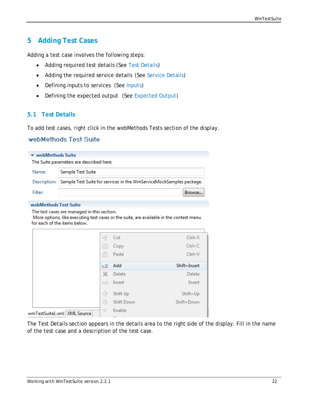# <span id="page-21-0"></span>**5 Adding Test Cases**

Adding a test case involves the following steps:

- Adding required test details (See [Test Details\)](#page-21-1)
- Adding the required service details (See [Service Details\)](#page-22-0)
- Defining inputs to services (See [Inputs\)](#page-23-0)
- Defining the expected output (See [Expected Output\)](#page-25-0)

#### <span id="page-21-1"></span>**5.1 Test Details**

To add test cases, right click in the webMethods Tests section of the display.

#### webMethods Test Suite

| $\blacktriangleright$ webMethods Suite<br>The Suite parameters are described here. |                                                                                  |  |  |  |  |
|------------------------------------------------------------------------------------|----------------------------------------------------------------------------------|--|--|--|--|
| Name:                                                                              | Sample Test Suite                                                                |  |  |  |  |
|                                                                                    | Description: Sample Test Suite for services in the WmServiceMockSamples package. |  |  |  |  |
| Filter:                                                                            | Browse                                                                           |  |  |  |  |

#### webMethods Test Suite

The test cases are managed in this section.

More options, like executing test cases or the suite, are available in the context menu for each of the items below.

|                               | of         | Cut               | $Ctrl+X$     |
|-------------------------------|------------|-------------------|--------------|
|                               | 自          | Copy              | $Ctrl + C$   |
|                               | Ġ          | Paste             | $Ctrl + V$   |
|                               | ų≣         | Add               | Shift+Insert |
|                               | Ж          | Delete            | Delete       |
|                               | 垣          | Insert            | Insert       |
|                               | ⇧          | Shift Up          | Shift+Up     |
|                               | ⊕          | <b>Shift Down</b> | Shift+Down   |
| wmTestSuite1.xml   XML Source | $_{\odot}$ | Enable            |              |
|                               |            |                   |              |

The Test Details section appears in the details area to the right side of the display. Fill in the name of the test case and a description of the test case.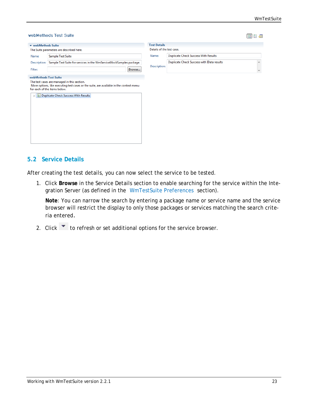|                         | webMethods Suite                                                                                                                                                        | <b>Test Details</b>       |                                             |  |
|-------------------------|-------------------------------------------------------------------------------------------------------------------------------------------------------------------------|---------------------------|---------------------------------------------|--|
|                         | The Suite parameters are described here.                                                                                                                                | Details of the test case. |                                             |  |
| Name:                   | Sample Test Suite                                                                                                                                                       | Name:                     | <b>Duplicate Check Success With Results</b> |  |
| Description:<br>Filter: | Sample Test Suite for services in the WmServiceMockSamples package.<br>Browse                                                                                           | Description:              | Duplicate Check Success with IData results  |  |
|                         | The test cases are managed in this section.<br>More options, like executing test cases or the suite, are available in the context menu-<br>for each of the items below. |                           |                                             |  |
| D.                      | Duplicate Check Success With Results                                                                                                                                    |                           |                                             |  |
|                         |                                                                                                                                                                         |                           |                                             |  |
|                         |                                                                                                                                                                         |                           |                                             |  |
|                         |                                                                                                                                                                         |                           |                                             |  |
|                         |                                                                                                                                                                         |                           |                                             |  |

#### <span id="page-22-0"></span>**5.2 Service Details**

After creating the test details, you can now select the service to be tested.

1. Click **Browse** in the Service Details section to enable searching for the service within the Integration Server (as defined in the [WmTestSuite Preferences](#page-11-1) section).

**Note**: You can narrow the search by entering a package name or service name and the service browser will restrict the display to only those packages or services matching the search criteria entered.

2. Click  $\bullet$  to refresh or set additional options for the service browser.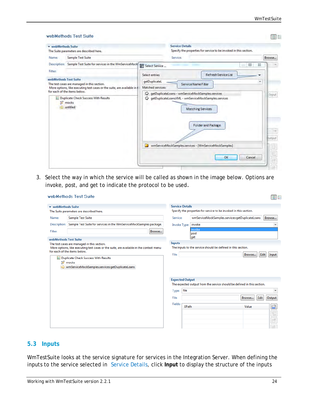|                                                                            | webMethods Suite                                                                                                        |                   | <b>Service Details</b> |                                                                                                                                                                  |                                        |        |
|----------------------------------------------------------------------------|-------------------------------------------------------------------------------------------------------------------------|-------------------|------------------------|------------------------------------------------------------------------------------------------------------------------------------------------------------------|----------------------------------------|--------|
|                                                                            | The Suite parameters are described here.                                                                                |                   |                        | Specify the properties for service to be invoked in this section.                                                                                                |                                        |        |
| Name:                                                                      | Sample Test Suite                                                                                                       |                   | Service:               |                                                                                                                                                                  |                                        | Browse |
| Description:                                                               | Sample Test Suite for services in the WmServiceMock Ta Select Service                                                   |                   |                        |                                                                                                                                                                  | $\Sigma$<br>$\boxed{\Box}$<br>$\equiv$ |        |
| Filter:                                                                    |                                                                                                                         | Select entries    |                        | <b>Refresh Service List</b>                                                                                                                                      |                                        |        |
|                                                                            | webMethods Test Suite                                                                                                   | getDuplicateL     |                        |                                                                                                                                                                  | ٠                                      |        |
|                                                                            | The test cases are managed in this section.<br>More options, like executing test cases or the suite, are available in t | Matched services: |                        | Service Name Fiter                                                                                                                                               |                                        |        |
|                                                                            | for each of the items below.                                                                                            | ⇨                 |                        | getDuplicateLoans - wmServiceMockSamples.services                                                                                                                |                                        | Input  |
| <b>Duplicate Check Success With Results</b><br><b>SE mocks</b><br>untitled |                                                                                                                         | ▷<br>◘            |                        | getDuplicateLoansXML - wmServiceMockSamples.services<br><b>Matching Services</b><br>Folder and Package<br>wmServiceMockSamples.services - [WmServiceMockSamples] |                                        | Dutput |

3. Select the way in which the service will be called as shown in the image below. Options are invoke, post, and get to indicate the protocol to be used.

| webMethods Suite      |                                                                                                                                        | <b>Service Details</b> |                                                                   |                                                                                                     |
|-----------------------|----------------------------------------------------------------------------------------------------------------------------------------|------------------------|-------------------------------------------------------------------|-----------------------------------------------------------------------------------------------------|
|                       | The Suite parameters are described here.                                                                                               |                        | Specify the properties for service to be invoked in this section. |                                                                                                     |
| Name:                 | <b>Sample Test Suite</b>                                                                                                               | Service:               |                                                                   | wmServiceMockSamples.services:getDuplicateLoans<br>Browse                                           |
| Description:          | Sample Test Suite for services in the WmServiceMockSamples package.                                                                    | Invoke Type:           | invoke                                                            |                                                                                                     |
| Filter:               |                                                                                                                                        | Browse                 | invoke<br>post                                                    |                                                                                                     |
| webMethods Test Suite |                                                                                                                                        |                        | get                                                               |                                                                                                     |
|                       | The test cases are managed in this section.<br>More options, like executing test cases or the suite, are available in the context menu | <b>Inputs</b>          | The inputs to the service should be defined in this section.      |                                                                                                     |
|                       | <b>E</b> Duplicate Check Success With Results<br>茅 mocks                                                                               |                        |                                                                   |                                                                                                     |
|                       | wmServiceMockSamples.services:getDuplicateLoans                                                                                        | <b>Expected Output</b> |                                                                   |                                                                                                     |
|                       |                                                                                                                                        | file<br>Type:          |                                                                   | The expected output from the service should be defined in this section.<br>$\overline{\phantom{a}}$ |
|                       |                                                                                                                                        | File:                  |                                                                   | Edit<br>Output<br>Browse                                                                            |
|                       |                                                                                                                                        | Fields:                | <b>XPath</b>                                                      | Value                                                                                               |
|                       |                                                                                                                                        |                        |                                                                   | 重<br>$\mathbb{E}$                                                                                   |
|                       |                                                                                                                                        |                        |                                                                   | F                                                                                                   |

#### <span id="page-23-0"></span>**5.3 Inputs**

WmTestSuite looks at the *service signature* for services in the Integration Server. When defining the inputs to the service selected in [Service Details,](#page-22-0) click **Input** to display the structure of the inputs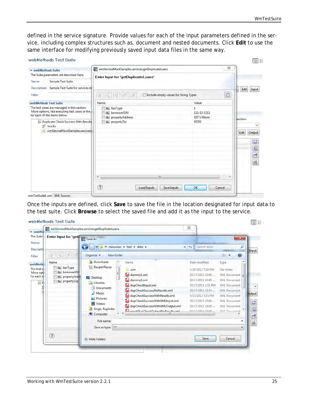defined in the service signature. Provide values for each of the input parameters defined in the service, including complex structures such as, document and nested documents. Click **Edit** to use the same interface for modifying previously saved input data files in the same way.

| * webMethods Suite                       |                                                                                  | ī.<br>wmServiceMockSamples.services:getDuplicateLoans |                                          |              | $\Sigma\!$ |                      |
|------------------------------------------|----------------------------------------------------------------------------------|-------------------------------------------------------|------------------------------------------|--------------|------------|----------------------|
| The Suite parameters are described here. |                                                                                  | Enter Input for 'getDuplicateLoans'                   |                                          |              |            |                      |
| Name:                                    | <b>Sample Test Suite</b>                                                         |                                                       |                                          |              |            |                      |
| Description:                             | Sample Test Suite for services in                                                |                                                       |                                          |              |            | Edit<br>Input        |
| Filter:                                  |                                                                                  | 霊<br>D<br>F<br>冊                                      | Include empty values for String Types    |              | $\Box$     |                      |
| webMethods Test Suite                    |                                                                                  | Name                                                  |                                          | Value        |            |                      |
|                                          | The test cases are managed in this section.                                      | <b>Abc</b> lienType                                   |                                          | $\mathbf{1}$ |            |                      |
|                                          | More options, like executing test cases or the :<br>for each of the items below. | <b>Abc</b> borrowerSSN                                |                                          | 111-11-1111  |            |                      |
|                                          |                                                                                  | <b>Abc</b> property Address                           |                                          | 937 S Meyer  |            | section.             |
|                                          | <b>E Duplicate Check Success With Results</b><br><b>\$ mocks</b>                 | <b>Rbc</b> propertyZip                                |                                          | 85701        |            |                      |
|                                          | wmServiceMockSamples.services:                                                   |                                                       |                                          |              |            |                      |
|                                          |                                                                                  |                                                       |                                          |              |            | Edit<br>Output       |
|                                          |                                                                                  |                                                       |                                          |              |            |                      |
|                                          |                                                                                  |                                                       |                                          |              |            | 田                    |
|                                          |                                                                                  |                                                       |                                          |              |            | $\sqrt{\frac{2}{3}}$ |
|                                          |                                                                                  |                                                       |                                          |              |            | E                    |
|                                          |                                                                                  |                                                       |                                          |              |            |                      |
|                                          |                                                                                  |                                                       |                                          |              |            | 圈                    |
|                                          |                                                                                  |                                                       |                                          |              |            |                      |
|                                          |                                                                                  | $\epsilon$                                            | m                                        |              |            |                      |
|                                          |                                                                                  |                                                       |                                          |              |            |                      |
|                                          |                                                                                  |                                                       |                                          |              |            |                      |
|                                          |                                                                                  | ℗                                                     | <b>Load Inputs</b><br><b>Save Inputs</b> | OK           | Cancel     |                      |

Once the inputs are defined, click **Save** to save the file in the location designated for input data to the test suite. Click **Browse** to select the saved file and add it as the input to the service.

|                                                  | wmServiceMockSamples.services:getDuplicateLoans |                                                | $\Sigma$                        |                          |
|--------------------------------------------------|-------------------------------------------------|------------------------------------------------|---------------------------------|--------------------------|
| Enter Input for 'getty Save As                   |                                                 |                                                |                                 | $\mathbf{x}$             |
|                                                  |                                                 | « resources » test » data »                    | Search data<br>$+$<br>$\bullet$ | Q                        |
| E.<br>Đ.                                         | New folder<br>Organize -                        |                                                |                                 | 睚                        |
| Name                                             | <b>Ja</b> Downloads<br>×                        | Name                                           | Date modified                   | Type                     |
| <b>Abc</b> lienType                              | <b>Recent Places</b><br>諔                       | .svn                                           | 4/20/2012 7:16 PM               | File folder              |
| <b>Abc</b> borrowerSSN<br><b>Abc</b> propertyAdd |                                                 | and dummy1.xml                                 | 10/17/2011 10:00                | <b>XML Document</b>      |
| <b>Rhe</b> propertyZip                           | Desktop                                         | dummy2,xml                                     | 10/17/2011 10:00                | <b>XML</b> Document      |
|                                                  | Libraries<br>a<br>Documents                     | dupCheckInput.xml                              | 10/17/2011 1:53 PM              | <b>XML Document</b>      |
|                                                  | Music                                           | form.<br>dupCheckSuccessNoResults.xml          | 10/17/2011 10:24                | <b>XML</b> Document      |
|                                                  | Pictures                                        | dupCheckSuccessWithResults.xml                 | 4/13/2012 5:15 PM               | <b>XML Document</b>      |
|                                                  | Videos                                          | <b>Bran</b><br>dupCheckSuccessWithXMLInput.xml | 10/17/2011 10:00                | <b>XML</b> Document      |
|                                                  | Singh, Rupinder                                 | and dupCheckSuccessWithXMLOutput.xml           | 10/17/2011 10:00                | <b>XML Document</b>      |
|                                                  | Computer                                        | and modelling host Cutmit No Docults and       | 10/17/2011 10:00                | <b>VIAL Placements</b>   |
|                                                  | File name:                                      |                                                |                                 |                          |
|                                                  | Save as type: *.*                               |                                                |                                 | $\overline{\phantom{a}}$ |
| $\circledR$                                      |                                                 |                                                | Save                            | Cancel                   |
|                                                  | A Hide Folders                                  |                                                |                                 |                          |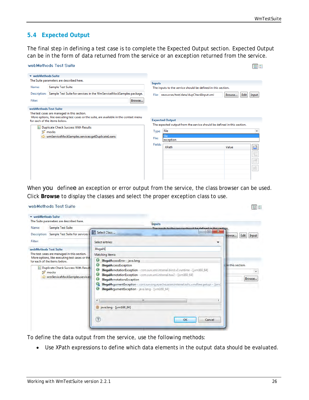198 23

## <span id="page-25-0"></span>**5.4 Expected Output**

The final step in defining a test case is to complete the Expected Output section. Expected Output can be in the form of data returned from the service or an exception returned from the service.

|                       | webMethods Test Suite                                                                                                                     |                |                                                                                                                                |                | $\boxed{11}$      |
|-----------------------|-------------------------------------------------------------------------------------------------------------------------------------------|----------------|--------------------------------------------------------------------------------------------------------------------------------|----------------|-------------------|
| ▼ webMethods Suite    |                                                                                                                                           |                |                                                                                                                                |                |                   |
|                       | The Suite parameters are described here.                                                                                                  | <b>Inputs</b>  |                                                                                                                                |                |                   |
| Name:                 | Sample Test Suite                                                                                                                         |                | The inputs to the service should be defined in this section.                                                                   |                |                   |
| Description:          | Sample Test Suite for services in the WmServiceMockSamples package.                                                                       |                | File: resources/test/data/dupCheckInput.xml                                                                                    | Edit<br>Browse | Input             |
| <b>Filter:</b>        | Browse                                                                                                                                    |                |                                                                                                                                |                |                   |
| webMethods Test Suite |                                                                                                                                           |                |                                                                                                                                |                |                   |
| 国                     | for each of the items below.<br><b>Duplicate Check Success With Results</b><br>挪 mocks<br>wmServiceMockSamples.services:getDuplicateLoans | Type:<br>File: | <b>Expected Output</b><br>The expected output from the service should be defined in this section.<br>file<br>file<br>exception |                | ٠                 |
|                       |                                                                                                                                           | Fields:        | <b>XPath</b>                                                                                                                   | Value          | Ø                 |
|                       |                                                                                                                                           |                |                                                                                                                                |                | $\mathbb{E}$<br>F |
|                       |                                                                                                                                           |                |                                                                                                                                |                | 陷                 |
|                       |                                                                                                                                           |                |                                                                                                                                |                |                   |

When you definee an exception or error output from the service, the class browser can be used. Click **Browse** to display the classes and select the proper exception class to use.

#### webMethods Test Suite

| Name:                 | The Suite parameters are described here.<br><b>Sample Test Suite</b>                                                                                                            |                                                                                                                                                                                                                                 | <b>Inputs</b><br>The innute to the censice chould be defined in this cection                                                                                                                                                                                    |                        |                               |
|-----------------------|---------------------------------------------------------------------------------------------------------------------------------------------------------------------------------|---------------------------------------------------------------------------------------------------------------------------------------------------------------------------------------------------------------------------------|-----------------------------------------------------------------------------------------------------------------------------------------------------------------------------------------------------------------------------------------------------------------|------------------------|-------------------------------|
| Description:          | Sample Test Suite for services                                                                                                                                                  | Select Class                                                                                                                                                                                                                    |                                                                                                                                                                                                                                                                 | $\mathbf{x}$<br>$\Box$ | <b>Edit</b><br>Input<br>rowse |
| Filter:               |                                                                                                                                                                                 | Select entries:                                                                                                                                                                                                                 |                                                                                                                                                                                                                                                                 |                        |                               |
| webMethods Test Suite |                                                                                                                                                                                 | IllegalA                                                                                                                                                                                                                        |                                                                                                                                                                                                                                                                 |                        |                               |
|                       | The test cases are managed in this section.                                                                                                                                     | Matching items:                                                                                                                                                                                                                 |                                                                                                                                                                                                                                                                 |                        |                               |
| E                     | More options, like executing test cases or the<br>for each of the items below.<br><b>Duplicate Check Success With Result</b><br><b>\$pmocks</b><br>wmServiceMockSamples.service | Θ<br>IllegalAccessError - java.lang<br>Θ<br><b>IllegalAccessException</b><br>Θ<br>Θ<br>Θ<br><b>IllegalAnnotationsException</b><br>G.<br>Θ<br>IllegalArgumentException - java.lang - [jym160_64]<br>pava.lang - [jvm160_64]<br>? | IllegalAnnotationException - com.sun.xml.internal.bind.v2.runtime - [jvm160_64]<br>IllegalAnnotationException - com.sun.xml.internal.txw2 - [jvm160_64]<br>IllegalArgumentException - com.sun.org.apache.xalan.internal.xsltc.cmdline.getopt - [jvm]<br>m<br>OK | Cancel                 | in this section.<br>Browse    |

To define the data output from the service, use the following methods:

• Use XPath expressions to define which data elements in the output data should be evaluated.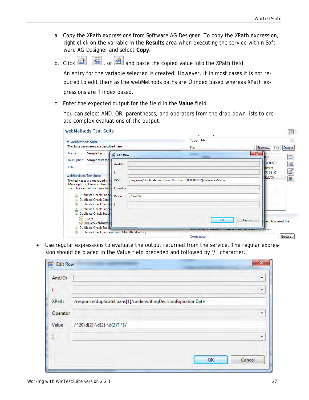- a. Copy the XPath expressions from Software AG Designer. To copy the XPath expression, right click on the variable in the **Results** area when executing the service within Software AG Designer and select **Copy**.
- b. Click  $\left[\begin{array}{c} \begin{array}{c} \dots \end{array}\right]$ , or  $\boxed{4}$  and paste the copied value into the XPath field.

An entry for the variable selected is created. However, it in most cases it is not required to edit them as the webMethods paths are 0 index based whereas XPath expressions are 1 index based.

c. Enter the expected output for the field in the **Value** field.

You can select AND, OR, parentheses, and operators from the drop-down lists to create complex evaluations of the output.

|                                                                                                                                |                          |                                                                   |                                              |                                              | $\left \begin{array}{c} 0 \\ 0 \\ 0 \end{array}\right $ |
|--------------------------------------------------------------------------------------------------------------------------------|--------------------------|-------------------------------------------------------------------|----------------------------------------------|----------------------------------------------|---------------------------------------------------------|
| webMethods Suite                                                                                                               |                          | file<br>Type:                                                     |                                              |                                              | ۰                                                       |
| The Suite parameters are described here.                                                                                       |                          | File:                                                             |                                              | Edit<br>Browse                               | Output                                                  |
| <b>Sample Tests</b><br>Name:<br>磂                                                                                              | <b>Edit Row</b>          |                                                                   | $\mathbf{x}$                                 |                                              |                                                         |
| Description: Sample tests for<br>Filter:                                                                                       | And/Or                   |                                                                   | $\overline{\phantom{a}}$<br>$\overline{\pi}$ | llue<br>00000001<br>levant<br>$05 - 04 - 27$ | ■<br>E<br>昏                                             |
| webMethods Test Suite<br>The test cases are managed in t<br>More options, like executing to<br>menu for each of the items bell | <b>XPath</b><br>Operator | /response/duplicateLoans[loanNumber='0000000001']/relevanceStatus | ÷                                            | Rel.*S/                                      | 圈                                                       |
| <b>Duplicate Check Succe</b><br>围<br><b>Duplicate Check Catcl</b><br>E<br>Duplicate Check Succe<br>目                           | Value                    | $/^{\wedge}$ Rel.*S/                                              | $\scriptstyle\star$                          |                                              |                                                         |
| Duplicate Check Succ<br>E<br><b>Duplicate Check Succe</b><br>E<br><b>\$pmocks</b><br>wmServiceMockSa                           |                          |                                                                   | OK<br>Cancel                                 | results against the                          |                                                         |
| <b>Duplicate Check Succe</b><br>E                                                                                              |                          |                                                                   | <b>MARY CRAINING COURSE IN EACH HOME FOR</b> | <b>TOPIC CORES.</b>                          |                                                         |

• Use regular expressions to evaluate the output returned from the service. The regular expression should be placed in the Value field preceded and followed by "/" character.

| <b>Edit Row</b>                                                | $\mathbf{x}$ |
|----------------------------------------------------------------|--------------|
|                                                                | ≂            |
|                                                                |              |
| /response/duplicateLoans[1]/underwritingDecisionExpirationDate |              |
|                                                                | ÷            |
| /^20\d{2}-\d{2}-\d{2}T.*\$/                                    |              |
|                                                                |              |
|                                                                |              |
| OK                                                             | Cancel       |
|                                                                |              |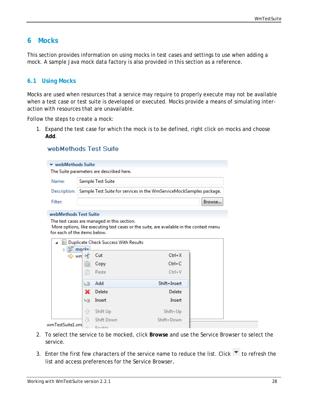## <span id="page-27-0"></span>**6 Mocks**

This section provides information on using mocks in test cases and settings to use when adding a mock. A sample Java mock data factory is also provided in this section as a reference.

#### <span id="page-27-1"></span>**6.1 Using Mocks**

Mocks are used when resources that a service may require to properly execute may not be available when a test case or test suite is developed or executed. Mocks provide a means of simulating interaction with resources that are unavailable.

Follow the steps to create a mock:

1. Expand the test case for which the mock is to be defined, right click on mocks and choose **Add**.

#### webMethods Test Suite

|                              |                                                                                    | The Suite parameters are described here.      |                                                                                         |        |  |  |  |
|------------------------------|------------------------------------------------------------------------------------|-----------------------------------------------|-----------------------------------------------------------------------------------------|--------|--|--|--|
| Name:                        | Sample Test Suite                                                                  |                                               |                                                                                         |        |  |  |  |
|                              | Description:   Sample Test Suite for services in the WmServiceMockSamples package. |                                               |                                                                                         |        |  |  |  |
|                              |                                                                                    |                                               |                                                                                         |        |  |  |  |
| Filter:                      |                                                                                    |                                               |                                                                                         | Browse |  |  |  |
| webMethods Test Suite        |                                                                                    |                                               |                                                                                         |        |  |  |  |
|                              |                                                                                    | The test cases are managed in this section.   |                                                                                         |        |  |  |  |
| for each of the items below. |                                                                                    |                                               | More options, like executing test cases or the suite, are available in the context menu |        |  |  |  |
| 4                            |                                                                                    | <b>E</b> Duplicate Check Success With Results |                                                                                         |        |  |  |  |
| ▷ \$ mocks                   |                                                                                    |                                               |                                                                                         |        |  |  |  |
|                              |                                                                                    |                                               |                                                                                         |        |  |  |  |
| ⇔ wm of                      |                                                                                    | Cut                                           | $Ctrl+X$                                                                                |        |  |  |  |
|                              | B                                                                                  | Copy                                          | $Ctrl + C$                                                                              |        |  |  |  |
|                              | Ê                                                                                  | Paste                                         | $Ctrl + V$                                                                              |        |  |  |  |
|                              | 送証                                                                                 | Add                                           | Shift+Insert                                                                            |        |  |  |  |
|                              | ×                                                                                  | Delete                                        | Delete                                                                                  |        |  |  |  |
|                              | 場言                                                                                 | Insert                                        | Insert                                                                                  |        |  |  |  |
|                              | FP                                                                                 | Shift Up                                      | Shift+Up                                                                                |        |  |  |  |
| wmTestSuite1.xml             | 8                                                                                  | <b>Shift Down</b>                             | Shift+Down                                                                              |        |  |  |  |

- 2. To select the service to be mocked, click **Browse** and use the Service Browser to select the service.
- 3. Enter the first few characters of the service name to reduce the list. Click  $\blacktriangledown$  to refresh the list and access preferences for the Service Browser.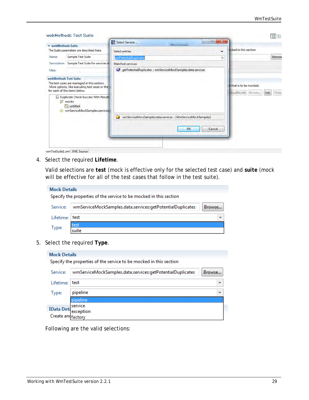|                       | webMethods Test Suite                                                                         | $-58$<br>回<br>۳.<br>Select Service                               | $\left \begin{smallmatrix} 0 & 0 \\ 0 & 0 \\ 0 & 0 \end{smallmatrix}\right $<br>$\frac{a-1}{a-1}$ |
|-----------------------|-----------------------------------------------------------------------------------------------|------------------------------------------------------------------|---------------------------------------------------------------------------------------------------|
| webMethods Suite      |                                                                                               | <b>Ballymount Company</b>                                        |                                                                                                   |
|                       | The Suite parameters are described here.                                                      | Select entries<br>$\overline{\mathbf{v}}$                        | <b>bcked</b> in this section                                                                      |
| Name:                 | Sample Test Suite                                                                             | getPotentialDuplicates<br>٠                                      | <b>Browse</b>                                                                                     |
|                       | Description: Sample Test Suite for services in                                                | Matched services:                                                |                                                                                                   |
| Filter:               |                                                                                               | G getPotentialDuplicates - wmServiceMockSamples.data.services    |                                                                                                   |
| webMethods Test Suite |                                                                                               |                                                                  |                                                                                                   |
|                       | The test cases are managed in this section.<br>More options, like executing test cases or the |                                                                  | e that is to be mocked.                                                                           |
|                       | for each of the items below.                                                                  |                                                                  | utputResults Browse<br>Edit<br>Outpi                                                              |
|                       | <b>E Duplicate Check Success With Results</b><br><b>\$ mocks</b>                              |                                                                  |                                                                                                   |
|                       | <b>Eil</b> untitled                                                                           |                                                                  |                                                                                                   |
|                       | wmServiceMockSamples.services                                                                 |                                                                  |                                                                                                   |
|                       |                                                                                               | wmServiceMockSamples.data.services - [WmServiceMockSamples]<br>n |                                                                                                   |
|                       |                                                                                               |                                                                  |                                                                                                   |
|                       |                                                                                               | OK<br>Cancel                                                     |                                                                                                   |
|                       |                                                                                               |                                                                  |                                                                                                   |
|                       |                                                                                               |                                                                  |                                                                                                   |
|                       | wmTestSuiteLxml XML Source                                                                    |                                                                  |                                                                                                   |

4. Select the required **Lifetime**.

Valid selections are *test* (mock is effective only for the selected test case) and *suite* (mock will be effective for all of the test cases that follow in the test suite).

| <b>Mock Details</b> |                                                                     |  |
|---------------------|---------------------------------------------------------------------|--|
|                     | Specify the properties of the service to be mocked in this section  |  |
| Service:            | wmServiceMockSamples.data.services:getPotentialDuplicates<br>Browse |  |
| Lifetime: Itest     |                                                                     |  |
| 'pe                 |                                                                     |  |

5. Select the required **Type**.

| <b>Mock Details</b>                    |                                                                    |        |
|----------------------------------------|--------------------------------------------------------------------|--------|
|                                        | Specify the properties of the service to be mocked in this section |        |
| Service:                               | wmServiceMockSamples.data.services:getPotentialDuplicates          | Browse |
| l ifetime:                             | l test                                                             |        |
| Type:                                  | pipeline                                                           |        |
|                                        | neline                                                             |        |
| <b>IData Det</b><br>Create and factory | service<br>exception                                               |        |

Following are the valid selections: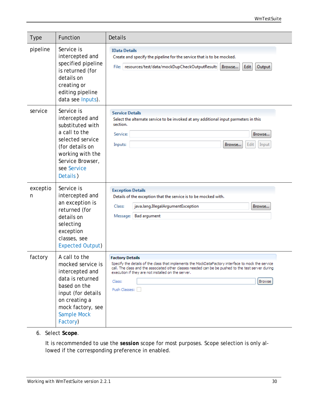#### *WmTestSuite*

| <b>Type</b>   | Function                                                                                                                                                                                | Details                                                                                                                                                                                                                                                                                                                              |
|---------------|-----------------------------------------------------------------------------------------------------------------------------------------------------------------------------------------|--------------------------------------------------------------------------------------------------------------------------------------------------------------------------------------------------------------------------------------------------------------------------------------------------------------------------------------|
| pipeline      | Service is<br>intercepted and<br>specified pipeline<br>is returned (for<br>details on<br>creating or<br>editing pipeline<br>data see Inputs).                                           | <b>IData Details</b><br>Create and specify the pipeline for the service that is to be mocked.<br>File: resources/test/data/mockDupCheckOutputResults<br>Edit<br>Browse<br>Output                                                                                                                                                     |
| service       | Service is<br>intercepted and<br>substituted with<br>a call to the<br>selected service<br>(for details on<br>working with the<br>Service Browser,<br>see Service<br>Details)            | <b>Service Details</b><br>Select the alternate service to be invoked at any additional input parmeters in this<br>section.<br>Service:<br>Browse<br>Inputs:<br>Browse<br>Edit<br>Input                                                                                                                                               |
| exceptio<br>n | Service is<br>intercepted and<br>an exception is<br>returned (for<br>details on<br>selecting<br>exception<br>classes, see<br><b>Expected Output)</b>                                    | <b>Exception Details</b><br>Details of the exception that the service is to be mocked with.<br>java.lang.IllegalArgumentException<br>Class:<br>Browse<br>Message: Bad argument                                                                                                                                                       |
| factory       | A call to the<br>mocked service is<br>intercepted and<br>data is returned<br>based on the<br>input (for details<br>on creating a<br>mock factory, see<br><b>Sample Mock</b><br>Factory) | <b>Factory Details</b><br>Specify the details of the class that implements the MockDataFactory interface to mock the service<br>call. The class and the associated other classes needed can be be pushed to the test server during<br>execution if they are not installed on the server.<br>Class:<br><b>Browse</b><br>Push Classes: |

6. Select **Scope**.

It is recommended to use the *session* scope for most purposes. Scope selection is only allowed if the corresponding preference in enabled.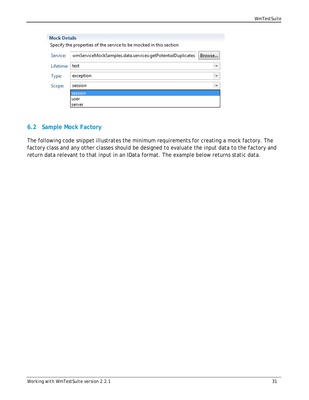|                | Specify the properties of the service to be mocked in this section |                          |
|----------------|--------------------------------------------------------------------|--------------------------|
| Service:       | wmServiceMockSamples.data.services:getPotentialDuplicates          | Browse                   |
| Lifetime: test |                                                                    | ▼                        |
| Type:          | exception                                                          | $\overline{\phantom{a}}$ |
| Scope:         | session                                                            | $\overline{\phantom{a}}$ |
|                | ession                                                             |                          |
|                | user                                                               |                          |
|                | server                                                             |                          |

## <span id="page-30-0"></span>**6.2 Sample Mock Factory**

The following code snippet illustrates the minimum requirements for creating a mock factory. The factory class and any other classes should be designed to evaluate the input data to the factory and return data relevant to that input in an IData format. The example below returns static data.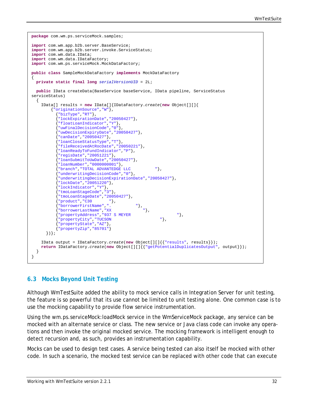```
package com.wm.ps.serviceMock.samples;
import com.wm.app.b2b.server.BaseService;
import com.wm.app.b2b.server.invoke.ServiceStatus;
import com.wm.data.IData;
import com.wm.data.IDataFactory;
import com.wm.ps.serviceMock.MockDataFactory;
public class SampleMockDataFactory implements MockDataFactory
{ 
   private static final long serialVersionUID = 2L;
   public IData createData(BaseService baseService, IData pipeline, ServiceStatus 
serviceStatus)
  \mathcal{L} IData[] results = new IData[]{IDataFactory.create(new Object[][]{
         {"originationSource","W"},
            {"bizType","RT"},
            {"lockExpirationDate","20050427"},
            {"floatLoanIndicator","Y"},
            {"uwFinalDecisionCode","0"},
            {"uwDecisionExpiryDate","20050427"},
            {"canDate","20050427"},
            {"loanCloseStatusType","T"},
            {"fileReceivedAtRocDate","20050221"},
            {"loanReadyToFundIndicator","P"},
            {"regisDate","20051221"},
            {"loanSubmitToUwDate","20050427"},
            {"loanNumber","0000000001"},
            {"branch","TOTAL ADVANTEDGE LLC "},
            {"underwritingDecisionCode","0"},
            {"underwritingDecisionExpirationDate","20050427"},
            {"lockDate","20051220"},
            {"lockIndicator","Y"},
            {"tmoLoanStageCode","3"},
            {"tmoLoanStageDate","20050427"}, 
            {"product","C30 "},
           {"product", coverfirstName",".<br>{"borrowerFirstName","XX""},<br>"},
            {"borrowerLastName","XX "},
           {"propertyAddress","937 S MEYER "},"<br>{"propertyCity","TUCSON "},
            {"propertyCity","TUCSON "},
            {"propertyState","AZ"},
            {"propertyZip","85701"} 
       })};
     IData output = IDataFactory.create(new Object[][]{{"results", results}});
     return IDataFactory.create(new Object[][]{{"getPotentialDuplicatesOutput", output}});
   } 
}
```
#### <span id="page-31-0"></span>**6.3 Mocks Beyond Unit Testing**

Although WmTestSuite added the ability to mock service calls in Integration Server for unit testing, the feature is so powerful that its use cannot be limited to unit testing alone. One common case is to use the mocking capability to provide flow service instrumentation.

Using the wm.ps.serviceMock:loadMock service in the WmServiceMock package, any service can be mocked with an alternate service or class. The new service or Java class code can invoke any operations and then invoke the original mocked service. The mocking framework is intelligent enough to detect recursion and, as such, provides an instrumentation capability.

Mocks can be used to design test cases. A service being tested can also itself be mocked with other code. In such a scenario, the mocked test service can be replaced with other code that can execute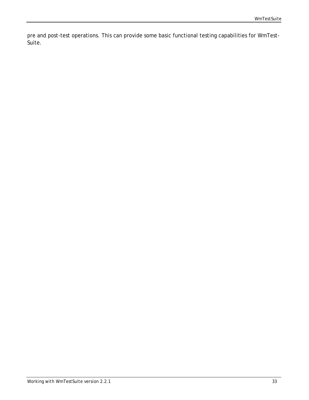pre and post-test operations. This can provide some basic functional testing capabilities for WmTest-Suite.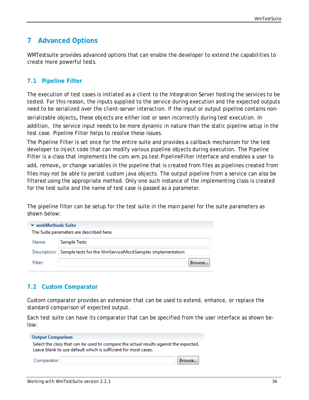# <span id="page-33-0"></span>**7 Advanced Options**

WMTestsuite provides advanced options that can enable the developer to extend the capabilities to create more powerful tests.

#### <span id="page-33-1"></span>**7.1 Pipeline Filter**

The execution of test cases is initiated as a client to the Integration Server hosting the services to be tested. For this reason, the inputs supplied to the service during execution and the expected outputs need to be serialized over the client-server interaction. If the input or output pipeline contains non-

serializable objects, these objects are either lost or seen incorrectly during test execution. In addition, the service input needs to be more dynamic in nature than the static pipeline setup in the test case. Pipeline Filter helps to resolve these issues.

The Pipeline Filter is set once for the entire suite and provides a callback mechanism for the test developer to inject code that can modify various pipeline objects during execution. The Pipeline Filter is a class that implements the com.wm.ps.test.PipelineFilter interface and enables a user to

add, remove, or change variables in the pipeline that is created from files as pipelines created from files may not be able to persist custom java objects. The output pipeline from a service can also be filtered using the appropriate method. Only one such instance of the implementing class is created for the test suite and the name of test case is passed as a parameter.

The pipeline filter can be setup for the test suite in the main panel for the suite parameters as shown below:

| $\blacktriangleright$ webMethods Suite<br>The Suite parameters are described here. |                                                                         |  |  |  |
|------------------------------------------------------------------------------------|-------------------------------------------------------------------------|--|--|--|
| Name:                                                                              | Sample Tests                                                            |  |  |  |
|                                                                                    | Description:   Sample tests for the WmServiceMockSamples implementation |  |  |  |
| Filter:                                                                            | Browse                                                                  |  |  |  |

#### <span id="page-33-2"></span>**7.2 Custom Comparator**

Custom comparator provides an extension that can be used to extend, enhance, or replace the standard comparison of expected output.

Each test suite can have its comparator that can be specified from the user interface as shown below:

| <b>Output Comparison</b>                                                                                                                                |        |
|---------------------------------------------------------------------------------------------------------------------------------------------------------|--------|
| Select the class that can be used to compare the actual results against the expected.<br>Leave blank to use default which is sufficient for most cases. |        |
| Comparator:                                                                                                                                             | Browse |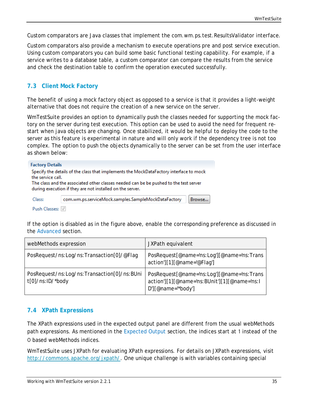Custom comparators are Java classes that implement the com.wm.ps.test.ResultsValidator interface.

Custom comparators also provide a mechanism to execute operations pre and post service execution. Using custom comparators you can build some basic functional testing capability. For example, if a service writes to a database table, a custom comparator can compare the results from the service and check the destination table to confirm the operation executed successfully.

## <span id="page-34-0"></span>**7.3 Client Mock Factory**

The benefit of using a mock factory object as opposed to a service is that it provides a light-weight alternative that does not require the creation of a new service on the server.

WmTestSuite provides an option to dynamically push the classes needed for supporting the mock factory on the server during test execution. This option can be used to avoid the need for frequent restart when java objects are changing. Once stabilized, it would be helpful to deploy the code to the server as this feature is experimental in nature and will only work if the dependency tree is not too complex. The option to push the objects dynamically to the server can be set from the user interface as shown below:

| <b>Factory Details</b> |                                                                                                                                                                                                                                              |
|------------------------|----------------------------------------------------------------------------------------------------------------------------------------------------------------------------------------------------------------------------------------------|
| the service call.      | Specify the details of the class that implements the MockDataFactory interface to mock<br>The class and the associated other classes needed can be be pushed to the test server<br>during execution if they are not installed on the server. |
| Class:                 | com.wm.ps.serviceMock.samples.SampleMockDataFactory<br>Browse                                                                                                                                                                                |
| Push Classes:          |                                                                                                                                                                                                                                              |

If the option is disabled as in the figure above, enable the corresponding preference as discussed in the [Advanced](#page-13-0) section.

| webMethods expression                                             | JXPath equivalent                                                                                               |
|-------------------------------------------------------------------|-----------------------------------------------------------------------------------------------------------------|
| PosRequest/ns:Log/ns:Transaction[0]/@Flag                         | PosRequest[@name='ns:Log'][@name='ns:Trans<br>action'][1][@name='@Flaq']                                        |
| PosRequest/ns:Log/ns:Transaction[0]/ns:BUni<br>$t[0]/ns:ID/*body$ | PosRequest[@name='ns:Log'][@name='ns:Trans<br>action'][1][@name='ns:BUnit'][1][@name='ns:l<br>D'][@name="body'] |

#### <span id="page-34-1"></span>**7.4 XPath Expressions**

The XPath expressions used in the expected output panel are different from the usual webMethods path expressions. As mentioned in the [Expected Output](#page-25-0) section, the indices start at 1 instead of the 0 based webMethods indices.

WmTestSuite uses JXPath for evaluating XPath expressions. For details on JXPath expressions, visit [http://commons.apache.org/jxpath/.](http://commons.apache.org/jxpath/) One unique challenge is with variables containing special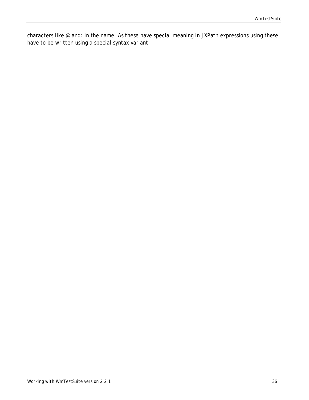characters like @ and: in the name. As these have special meaning in JXPath expressions using these have to be written using a special syntax variant.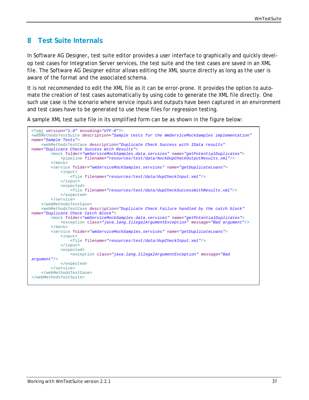# <span id="page-36-0"></span>**8 Test Suite Internals**

In Software AG Designer, test suite editor provides a user interface to graphically and quickly develop test cases for Integration Server services, the test suite and the test cases are saved in an XML file. The Software AG Designer editor allows editing the XML source directly as long as the user is aware of the format and the associated schema.

It is not recommended to edit the XML file as it can be error-prone. It provides the option to automate the creation of test cases automatically by using code to generate the XML file directly. One such use case is the scenario where service inputs and outputs have been captured in an environment and test cases have to be generated to use these files for regression testing.

A sample XML test suite file in its simplified form can be as shown in the figure below:

```
<?xml version="1.0" encoding="UTF-8"?>
<webMethodsTestSuite description="Sample tests for the WmServiceMockSamples implementation"
name="Sample Tests">
    <webMethodsTestCase description="Duplicate Check Success with IData results"
name="Duplicate Check Success With Results">
         <mock folder="wmServiceMockSamples.data.services" name="getPotentialDuplicates">
             <pipeline filename="resources/test/data/mockDupCheckOutputResults.xml"/>
        \epsilon/mock>
         <service folder="wmServiceMockSamples.services" name="getDuplicateLoans">
             <input>
                 <file filename="resources/test/data/dupCheckInput.xml"/>
             </input>
             <expected>
                 <file filename="resources/test/data/dupCheckSuccessWithResults.xml"/>
             </expected>
         </service>
     </webMethodsTestCase>
     <webMethodsTestCase description="Duplicate Check Failure handled by the catch block"
name="Duplicate Check Catch Block">
         <mock folder="wmServiceMockSamples.data.services" name="getPotentialDuplicates">
             <exception class="java.lang.IllegalArgumentException" message="Bad argument"/>
         </mock>
         <service folder="wmServiceMockSamples.services" name="getDuplicateLoans">
             <input>
                 <file filename="resources/test/data/dupCheckInput.xml"/>
             </input>
             <expected>
                 <exception class="java.lang.IllegalArgumentException" message="Bad 
argument"/>
             </expected>
         </service>
     </webMethodsTestCase>
</webMethodsTestSuite>
```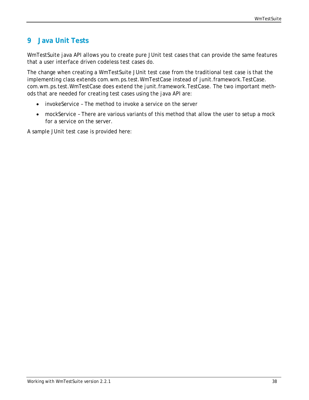# <span id="page-37-0"></span>**9 Java Unit Tests**

WmTestSuite java API allows you to create pure JUnit test cases that can provide the same features that a user interface driven codeless test cases do.

The change when creating a WmTestSuite JUnit test case from the traditional test case is that the implementing class extends com.wm.ps.test.WmTestCase instead of junit.framework.TestCase. com.wm.ps.test.WmTestCase does extend the junit.framework.TestCase. The two important methods that are needed for creating test cases using the java API are:

- invokeService The method to invoke a service on the server
- mockService There are various variants of this method that allow the user to setup a mock for a service on the server.

A sample JUnit test case is provided here: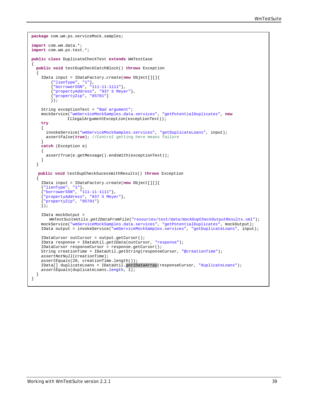```
package com.wm.ps.serviceMock.samples;
import com.wm.data.*;
import com.wm.ps.test.*;
public class DuplicateCheckTest extends WmTestCase
{ 
   public void testDupCheckCatchBlock() throws Exception
\mathcal{A} IData input = IDataFactory.create(new Object[][]{
           {"lienType", "1"},
          {"borrowerSSN", "111-11-1111"},
          {"propertyAddress", "937 S Meyer"},
          {"propertyZip", "85701"} 
          }); 
     String exceptionText = "Bad argument"; 
     mockService("wmServiceMockSamples.data.services", "getPotentialDuplicates", new 
                IllegalArgumentException(exceptionText));
     try
\left\{\begin{array}{ccc} \end{array}\right\} invokeService("wmServiceMockSamples.services", "getDuplicateLoans", input);
       assertFalse(true); //Control getting here means failure 
 } 
     catch (Exception e)
\left\{\begin{array}{ccc} \end{array}\right\} assertTrue(e.getMessage().endsWith(exceptionText));
     } 
   } 
   public void testDupCheckSucessWithResults() throws Exception
\mathcal{A} IData input = IDataFactory.create(new Object[][]{
     {"lienType", "1"},
     {"borrowerSSN", "111-11-1111"},
     {"propertyAddress", "937 S Meyer"},
     {"propertyZip", "85701"} 
     });
     IData mockOutput = 
        WmTestSuiteUtils.getIDataFromFile("resources/test/data/mockDupCheckOutputResults.xml");
     mockService("wmServiceMockSamples.data.services", "getPotentialDuplicates", mockOutput);
     IData output = invokeService("wmServiceMockSamples.services", "getDuplicateLoans", input);
     IDataCursor outCursor = output.getCursor();
     IData response = IDataUtil.getIData(outCursor, "response");
     IDataCursor responseCursor = response.getCursor();
     String creationTime = IDataUtil.getString(responseCursor, "@creationTime");
     assertNotNull(creationTime);
     assertEquals(28, creationTime.length());
     IData[] duplicateLoans = IDataUtil.getIDataArray(responseCursor, "duplicateLoans");
     assertEquals(duplicateLoans.length, 1);
   } 
}
```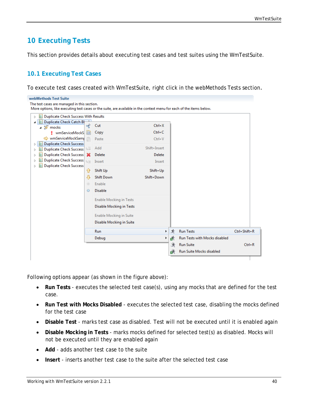# <span id="page-39-0"></span>**10 Executing Tests**

<span id="page-39-1"></span>This section provides details about executing test cases and test suites using the WmTestSuite.

## **10.1 Executing Test Cases**

To execute test cases created with WmTestSuite, right click in the webMethods Tests section.

| webMethods Test Suite                                                                                                |                   |                                |              |   |   |                               |              |  |
|----------------------------------------------------------------------------------------------------------------------|-------------------|--------------------------------|--------------|---|---|-------------------------------|--------------|--|
| The test cases are managed in this section.                                                                          |                   |                                |              |   |   |                               |              |  |
| More options, like executing test cases or the suite, are available in the context menu for each of the items below. |                   |                                |              |   |   |                               |              |  |
| <b>Duplicate Check Success With Results</b><br>E:<br>$\triangleright$                                                |                   |                                |              |   |   |                               |              |  |
| Duplicate Check Catch Bl<br>L.<br>◢                                                                                  | of                | Cut                            | $Ctrl+X$     |   |   |                               |              |  |
| ⊿ 抑 mocks                                                                                                            |                   |                                |              |   |   |                               |              |  |
| wmServiceMockS                                                                                                       | 目                 | Copy                           | $Ctrl + C$   |   |   |                               |              |  |
| → wmServiceMockSamp                                                                                                  | Ê                 | Paste                          | $Ctrl + V$   |   |   |                               |              |  |
| <b>Duplicate Check Success</b><br>E<br>D                                                                             | $\mathbb{L}_p\Xi$ | Add                            | Shift+Insert |   |   |                               |              |  |
| Duplicate Check Success<br>E:<br>D<br>Duplicate Check Success X<br>E.                                                |                   | Delete                         | Delete       |   |   |                               |              |  |
| D<br>Duplicate Check Success<br>E:l<br>D                                                                             |                   |                                |              |   |   |                               |              |  |
| Ei<br><b>Duplicate Check Success</b><br>D                                                                            | $L_2 \equiv$      | Insert                         | Insert       |   |   |                               |              |  |
|                                                                                                                      | ⇧                 | Shift Up                       | Shift+Up     |   |   |                               |              |  |
|                                                                                                                      | ⊕                 | <b>Shift Down</b>              | Shift+Down   |   |   |                               |              |  |
|                                                                                                                      | $\circledcirc$    | Enable                         |              |   |   |                               |              |  |
|                                                                                                                      | $\circ$           | <b>Disable</b>                 |              |   |   |                               |              |  |
|                                                                                                                      |                   |                                |              |   |   |                               |              |  |
|                                                                                                                      |                   | <b>Enable Mocking in Tests</b> |              |   |   |                               |              |  |
|                                                                                                                      |                   | Disable Mocking in Tests       |              |   |   |                               |              |  |
|                                                                                                                      |                   | Enable Mocking in Suite        |              |   |   |                               |              |  |
|                                                                                                                      |                   | Disable Mocking in Suite       |              |   |   |                               |              |  |
|                                                                                                                      |                   | Run                            |              | Þ | 화 | <b>Run Tests</b>              | Ctrl+Shift+R |  |
|                                                                                                                      |                   | Debug                          |              | Þ | 武 | Run Tests with Mocks disabled |              |  |
|                                                                                                                      |                   |                                |              |   | 身 | <b>Run Suite</b>              | $Ctrl + R$   |  |
|                                                                                                                      |                   |                                |              |   | 酥 | Run Suite Mocks disabled      |              |  |
|                                                                                                                      |                   |                                |              |   |   |                               |              |  |
|                                                                                                                      |                   |                                |              |   |   |                               |              |  |

Following options appear (as shown in the figure above):

- **Run Tests** executes the selected test case(s), using any mocks that are defined for the test case.
- **Run Test with Mocks Disabled** executes the selected test case, disabling the mocks defined for the test case
- **Disable Test** marks test case as disabled. Test will not be executed until it is enabled again
- **Disable Mocking in Tests** marks mocks defined for selected test(s) as disabled. Mocks will not be executed until they are enabled again
- **Add** adds another test case to the suite
- **Insert** inserts another test case to the suite after the selected test case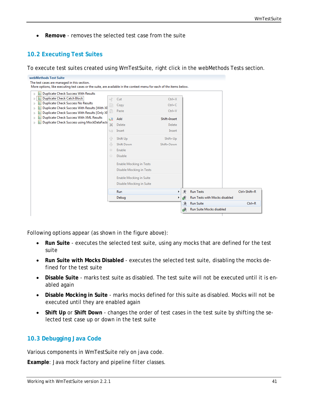• **Remove** - removes the selected test case from the suite

## <span id="page-40-0"></span>**10.2 Executing Test Suites**

To execute test suites created using WmTestSuite, right click in the webMethods Tests section.

| webMethods Test Suite                                                                                                                                               |                                 |                                                                                              |                                  |    |   |                               |                    |
|---------------------------------------------------------------------------------------------------------------------------------------------------------------------|---------------------------------|----------------------------------------------------------------------------------------------|----------------------------------|----|---|-------------------------------|--------------------|
| The test cases are managed in this section.<br>More options, like executing test cases or the suite, are available in the context menu for each of the items below. |                                 |                                                                                              |                                  |    |   |                               |                    |
|                                                                                                                                                                     |                                 |                                                                                              |                                  |    |   |                               |                    |
| <b>Duplicate Check Success With Results</b><br>ĿЫ<br>Þ<br>Duplicate Check Catch Block<br>ЕI<br>Þ.<br><b>Duplicate Check Success No Results</b><br>D                 | $\circ \xi$                     | Cut<br>Copy                                                                                  | $Ctrl+X$<br>$Ctrl + C$           |    |   |                               |                    |
| Duplicate Check Success With Results [With XI]<br>Þ<br>Duplicate Check Success With Results [Only XF<br>Þ                                                           | Ê                               | Paste                                                                                        | $Ctrl + V$                       |    |   |                               |                    |
| Duplicate Check Success With XML Results<br>lЕi<br>Þ<br>Duplicate Check Success using MockDataFacto<br>L.<br>Þ                                                      | ų≣<br>×<br>$L_2 \equiv$         | Add<br>Delete<br>Insert                                                                      | Shift+Insert<br>Delete<br>Insert |    |   |                               |                    |
|                                                                                                                                                                     | ⇧<br>4<br>$_{\odot}$<br>$\odot$ | Shift Up<br><b>Shift Down</b><br>Enable<br><b>Disable</b>                                    | Shift+Up<br>Shift+Down           |    |   |                               |                    |
|                                                                                                                                                                     |                                 | <b>Enable Mocking in Tests</b><br>Disable Mocking in Tests<br><b>Enable Mocking in Suite</b> |                                  |    |   |                               |                    |
|                                                                                                                                                                     |                                 | Disable Mocking in Suite<br>Run                                                              |                                  | ▸∣ | 亰 | <b>Run Tests</b>              | $Ctrl + Shift + R$ |
|                                                                                                                                                                     |                                 | Debug                                                                                        |                                  | ▶. | 诉 | Run Tests with Mocks disabled |                    |
|                                                                                                                                                                     |                                 |                                                                                              |                                  |    | 冰 | <b>Run Suite</b>              | $Ctrl + R$         |
|                                                                                                                                                                     |                                 |                                                                                              |                                  |    | 酥 | Run Suite Mocks disabled      |                    |

Following options appear (as shown in the figure above):

- **Run Suite**  executes the selected test suite, using any mocks that are defined for the test suite
- **Run Suite with Mocks Disabled** executes the selected test suite, disabling the mocks defined for the test suite
- **Disable Suite** marks test suite as disabled. The test suite will not be executed until it is enabled again
- **Disable Mocking in Suite** marks mocks defined for this suite as disabled. Mocks will not be executed until they are enabled again
- **Shift Up** or **Shift Down** changes the order of test cases in the test suite by shifting the selected test case up or down in the test suite

#### <span id="page-40-1"></span>**10.3 Debugging Java Code**

Various components in WmTestSuite rely on java code.

**Example**: Java mock factory and pipeline filter classes.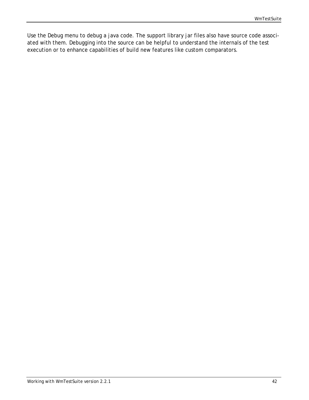Use the Debug menu to debug a java code. The support library jar files also have source code associated with them. Debugging into the source can be helpful to understand the internals of the test execution or to enhance capabilities of build new features like custom comparators.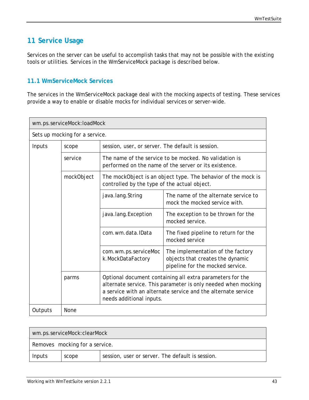# <span id="page-42-0"></span>**11 Service Usage**

Services on the server can be useful to accomplish tasks that may not be possible with the existing tools or utilities. Services in the WmServiceMock package is described below.

#### <span id="page-42-1"></span>**11.1 WmServiceMock Services**

The services in the WmServiceMock package deal with the mocking aspects of testing. These services provide a way to enable or disable mocks for individual services or server-wide.

|                                                                                                                                                                                                                                  | wm.ps.serviceMock:loadMock     |                                                   |                                                                                                                 |  |  |  |
|----------------------------------------------------------------------------------------------------------------------------------------------------------------------------------------------------------------------------------|--------------------------------|---------------------------------------------------|-----------------------------------------------------------------------------------------------------------------|--|--|--|
|                                                                                                                                                                                                                                  | Sets up mocking for a service. |                                                   |                                                                                                                 |  |  |  |
| Inputs                                                                                                                                                                                                                           | scope                          | session, user, or server. The default is session. |                                                                                                                 |  |  |  |
|                                                                                                                                                                                                                                  | service                        |                                                   | The name of the service to be mocked. No validation is<br>performed on the name of the server or its existence. |  |  |  |
|                                                                                                                                                                                                                                  | mockObject                     | controlled by the type of the actual object.      | The mockObject is an object type. The behavior of the mock is                                                   |  |  |  |
|                                                                                                                                                                                                                                  |                                | java.lang.String                                  | The name of the alternate service to<br>mock the mocked service with.                                           |  |  |  |
|                                                                                                                                                                                                                                  |                                | java.lang.Exception                               | The exception to be thrown for the<br>mocked service.                                                           |  |  |  |
|                                                                                                                                                                                                                                  |                                | com.wm.data.IData                                 | The fixed pipeline to return for the<br>mocked service                                                          |  |  |  |
|                                                                                                                                                                                                                                  |                                | com.wm.ps.serviceMoc<br>k.MockDataFactory         | The implementation of the factory<br>objects that creates the dynamic<br>pipeline for the mocked service.       |  |  |  |
| Optional document containing all extra parameters for the<br>parms<br>alternate service. This parameter is only needed when mocking<br>a service with an alternate service and the alternate service<br>needs additional inputs. |                                |                                                   |                                                                                                                 |  |  |  |
| Outputs                                                                                                                                                                                                                          | <b>None</b>                    |                                                   |                                                                                                                 |  |  |  |

| wm.ps.serviceMock:clearMock |                                |                                                  |  |  |
|-----------------------------|--------------------------------|--------------------------------------------------|--|--|
|                             | Removes mocking for a service. |                                                  |  |  |
| Inputs<br>scope             |                                | session, user or server. The default is session. |  |  |